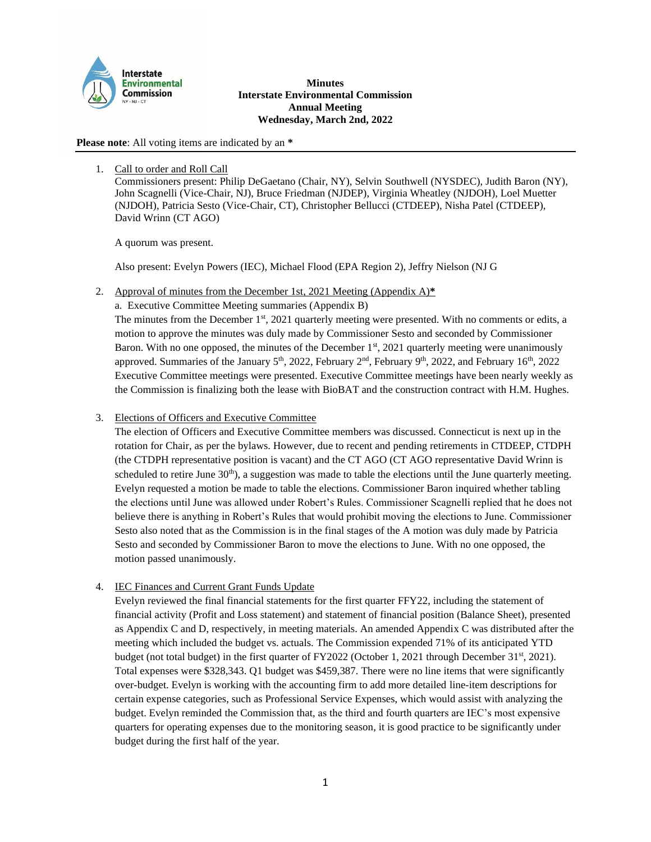

#### **Minutes Interstate Environmental Commission Annual Meeting Wednesday, March 2nd, 2022**

**Please note**: All voting items are indicated by an **\***

## 1. Call to order and Roll Call

Commissioners present: Philip DeGaetano (Chair, NY), Selvin Southwell (NYSDEC), Judith Baron (NY), John Scagnelli (Vice-Chair, NJ), Bruce Friedman (NJDEP), Virginia Wheatley (NJDOH), Loel Muetter (NJDOH), Patricia Sesto (Vice-Chair, CT), Christopher Bellucci (CTDEEP), Nisha Patel (CTDEEP), David Wrinn (CT AGO)

A quorum was present.

Also present: Evelyn Powers (IEC), Michael Flood (EPA Region 2), Jeffry Nielson (NJ G

2. Approval of minutes from the December 1st, 2021 Meeting (Appendix A)**\***

a. Executive Committee Meeting summaries (Appendix B) The minutes from the December 1st, 2021 quarterly meeting were presented. With no comments or edits, a motion to approve the minutes was duly made by Commissioner Sesto and seconded by Commissioner Baron. With no one opposed, the minutes of the December  $1<sup>st</sup>$ , 2021 quarterly meeting were unanimously approved. Summaries of the January  $5<sup>th</sup>$ , 2022, February  $2<sup>nd</sup>$ , February  $9<sup>th</sup>$ , 2022, and February  $16<sup>th</sup>$ , 2022 Executive Committee meetings were presented. Executive Committee meetings have been nearly weekly as the Commission is finalizing both the lease with BioBAT and the construction contract with H.M. Hughes.

3. Elections of Officers and Executive Committee

The election of Officers and Executive Committee members was discussed. Connecticut is next up in the rotation for Chair, as per the bylaws. However, due to recent and pending retirements in CTDEEP, CTDPH (the CTDPH representative position is vacant) and the CT AGO (CT AGO representative David Wrinn is scheduled to retire June  $30<sup>th</sup>$ , a suggestion was made to table the elections until the June quarterly meeting. Evelyn requested a motion be made to table the elections. Commissioner Baron inquired whether tabling the elections until June was allowed under Robert's Rules. Commissioner Scagnelli replied that he does not believe there is anything in Robert's Rules that would prohibit moving the elections to June. Commissioner Sesto also noted that as the Commission is in the final stages of the A motion was duly made by Patricia Sesto and seconded by Commissioner Baron to move the elections to June. With no one opposed, the motion passed unanimously.

4. IEC Finances and Current Grant Funds Update

Evelyn reviewed the final financial statements for the first quarter FFY22, including the statement of financial activity (Profit and Loss statement) and statement of financial position (Balance Sheet), presented as Appendix C and D, respectively, in meeting materials. An amended Appendix C was distributed after the meeting which included the budget vs. actuals. The Commission expended 71% of its anticipated YTD budget (not total budget) in the first quarter of  $FY2022$  (October 1, 2021 through December 31<sup>st</sup>, 2021). Total expenses were \$328,343. Q1 budget was \$459,387. There were no line items that were significantly over-budget. Evelyn is working with the accounting firm to add more detailed line-item descriptions for certain expense categories, such as Professional Service Expenses, which would assist with analyzing the budget. Evelyn reminded the Commission that, as the third and fourth quarters are IEC's most expensive quarters for operating expenses due to the monitoring season, it is good practice to be significantly under budget during the first half of the year.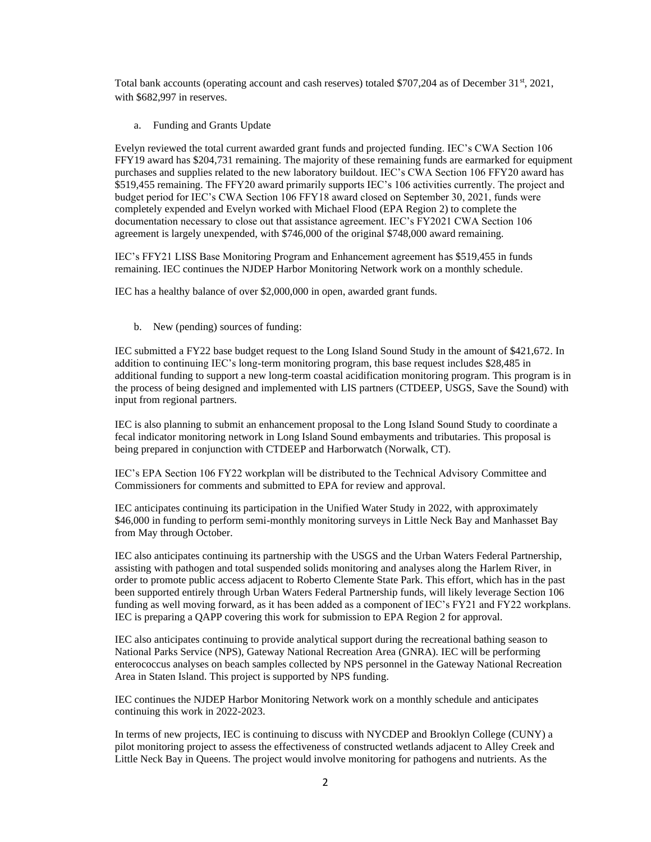Total bank accounts (operating account and cash reserves) totaled  $$707,204$  as of December 31<sup>st</sup>, 2021, with \$682,997 in reserves.

a. Funding and Grants Update

Evelyn reviewed the total current awarded grant funds and projected funding. IEC's CWA Section 106 FFY19 award has \$204,731 remaining. The majority of these remaining funds are earmarked for equipment purchases and supplies related to the new laboratory buildout. IEC's CWA Section 106 FFY20 award has \$519,455 remaining. The FFY20 award primarily supports IEC's 106 activities currently. The project and budget period for IEC's CWA Section 106 FFY18 award closed on September 30, 2021, funds were completely expended and Evelyn worked with Michael Flood (EPA Region 2) to complete the documentation necessary to close out that assistance agreement. IEC's FY2021 CWA Section 106 agreement is largely unexpended, with \$746,000 of the original \$748,000 award remaining.

IEC's FFY21 LISS Base Monitoring Program and Enhancement agreement has \$519,455 in funds remaining. IEC continues the NJDEP Harbor Monitoring Network work on a monthly schedule.

IEC has a healthy balance of over \$2,000,000 in open, awarded grant funds.

b. New (pending) sources of funding:

IEC submitted a FY22 base budget request to the Long Island Sound Study in the amount of \$421,672. In addition to continuing IEC's long-term monitoring program, this base request includes \$28,485 in additional funding to support a new long-term coastal acidification monitoring program. This program is in the process of being designed and implemented with LIS partners (CTDEEP, USGS, Save the Sound) with input from regional partners.

IEC is also planning to submit an enhancement proposal to the Long Island Sound Study to coordinate a fecal indicator monitoring network in Long Island Sound embayments and tributaries. This proposal is being prepared in conjunction with CTDEEP and Harborwatch (Norwalk, CT).

IEC's EPA Section 106 FY22 workplan will be distributed to the Technical Advisory Committee and Commissioners for comments and submitted to EPA for review and approval.

IEC anticipates continuing its participation in the Unified Water Study in 2022, with approximately \$46,000 in funding to perform semi-monthly monitoring surveys in Little Neck Bay and Manhasset Bay from May through October.

IEC also anticipates continuing its partnership with the USGS and the Urban Waters Federal Partnership, assisting with pathogen and total suspended solids monitoring and analyses along the Harlem River, in order to promote public access adjacent to Roberto Clemente State Park. This effort, which has in the past been supported entirely through Urban Waters Federal Partnership funds, will likely leverage Section 106 funding as well moving forward, as it has been added as a component of IEC's FY21 and FY22 workplans. IEC is preparing a QAPP covering this work for submission to EPA Region 2 for approval.

IEC also anticipates continuing to provide analytical support during the recreational bathing season to National Parks Service (NPS), Gateway National Recreation Area (GNRA). IEC will be performing enterococcus analyses on beach samples collected by NPS personnel in the Gateway National Recreation Area in Staten Island. This project is supported by NPS funding.

IEC continues the NJDEP Harbor Monitoring Network work on a monthly schedule and anticipates continuing this work in 2022-2023.

In terms of new projects, IEC is continuing to discuss with NYCDEP and Brooklyn College (CUNY) a pilot monitoring project to assess the effectiveness of constructed wetlands adjacent to Alley Creek and Little Neck Bay in Queens. The project would involve monitoring for pathogens and nutrients. As the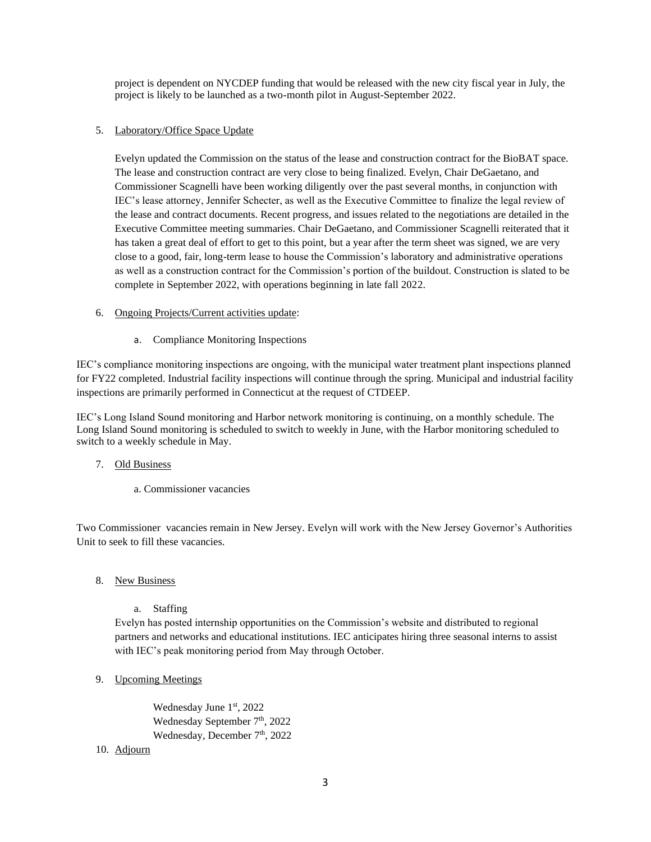project is dependent on NYCDEP funding that would be released with the new city fiscal year in July, the project is likely to be launched as a two-month pilot in August-September 2022.

## 5. Laboratory/Office Space Update

Evelyn updated the Commission on the status of the lease and construction contract for the BioBAT space. The lease and construction contract are very close to being finalized. Evelyn, Chair DeGaetano, and Commissioner Scagnelli have been working diligently over the past several months, in conjunction with IEC's lease attorney, Jennifer Schecter, as well as the Executive Committee to finalize the legal review of the lease and contract documents. Recent progress, and issues related to the negotiations are detailed in the Executive Committee meeting summaries. Chair DeGaetano, and Commissioner Scagnelli reiterated that it has taken a great deal of effort to get to this point, but a year after the term sheet was signed, we are very close to a good, fair, long-term lease to house the Commission's laboratory and administrative operations as well as a construction contract for the Commission's portion of the buildout. Construction is slated to be complete in September 2022, with operations beginning in late fall 2022.

# 6. Ongoing Projects/Current activities update:

a. Compliance Monitoring Inspections

IEC's compliance monitoring inspections are ongoing, with the municipal water treatment plant inspections planned for FY22 completed. Industrial facility inspections will continue through the spring. Municipal and industrial facility inspections are primarily performed in Connecticut at the request of CTDEEP.

IEC's Long Island Sound monitoring and Harbor network monitoring is continuing, on a monthly schedule. The Long Island Sound monitoring is scheduled to switch to weekly in June, with the Harbor monitoring scheduled to switch to a weekly schedule in May.

## 7. Old Business

a. Commissioner vacancies

Two Commissioner vacancies remain in New Jersey. Evelyn will work with the New Jersey Governor's Authorities Unit to seek to fill these vacancies.

- 8. New Business
	- a. Staffing

Evelyn has posted internship opportunities on the Commission's website and distributed to regional partners and networks and educational institutions. IEC anticipates hiring three seasonal interns to assist with IEC's peak monitoring period from May through October.

9. Upcoming Meetings

Wednesday June 1st, 2022 Wednesday September 7<sup>th</sup>, 2022 Wednesday, December 7<sup>th</sup>, 2022

## 10. Adjourn